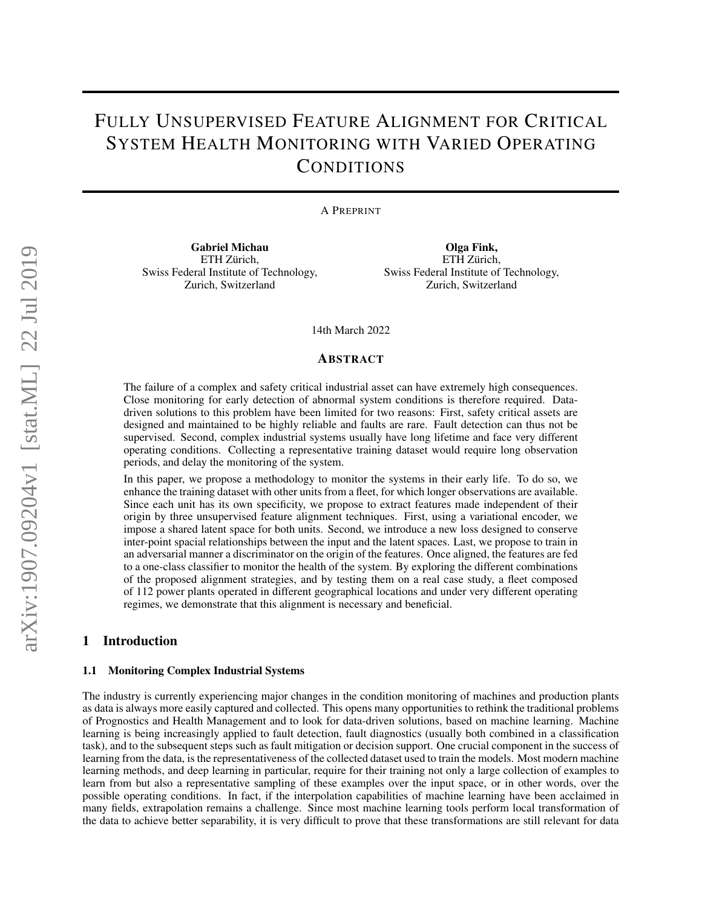# FULLY UNSUPERVISED FEATURE ALIGNMENT FOR CRITICAL SYSTEM HEALTH MONITORING WITH VARIED OPERATING **CONDITIONS**

A PREPRINT

Gabriel Michau ETH Zürich, Swiss Federal Institute of Technology, Zurich, Switzerland

Olga Fink, ETH Zürich, Swiss Federal Institute of Technology, Zurich, Switzerland

14th March 2022

#### ABSTRACT

The failure of a complex and safety critical industrial asset can have extremely high consequences. Close monitoring for early detection of abnormal system conditions is therefore required. Datadriven solutions to this problem have been limited for two reasons: First, safety critical assets are designed and maintained to be highly reliable and faults are rare. Fault detection can thus not be supervised. Second, complex industrial systems usually have long lifetime and face very different operating conditions. Collecting a representative training dataset would require long observation periods, and delay the monitoring of the system.

In this paper, we propose a methodology to monitor the systems in their early life. To do so, we enhance the training dataset with other units from a fleet, for which longer observations are available. Since each unit has its own specificity, we propose to extract features made independent of their origin by three unsupervised feature alignment techniques. First, using a variational encoder, we impose a shared latent space for both units. Second, we introduce a new loss designed to conserve inter-point spacial relationships between the input and the latent spaces. Last, we propose to train in an adversarial manner a discriminator on the origin of the features. Once aligned, the features are fed to a one-class classifier to monitor the health of the system. By exploring the different combinations of the proposed alignment strategies, and by testing them on a real case study, a fleet composed of 112 power plants operated in different geographical locations and under very different operating regimes, we demonstrate that this alignment is necessary and beneficial.

# 1 Introduction

#### 1.1 Monitoring Complex Industrial Systems

The industry is currently experiencing major changes in the condition monitoring of machines and production plants as data is always more easily captured and collected. This opens many opportunities to rethink the traditional problems of Prognostics and Health Management and to look for data-driven solutions, based on machine learning. Machine learning is being increasingly applied to fault detection, fault diagnostics (usually both combined in a classification task), and to the subsequent steps such as fault mitigation or decision support. One crucial component in the success of learning from the data, is the representativeness of the collected dataset used to train the models. Most modern machine learning methods, and deep learning in particular, require for their training not only a large collection of examples to learn from but also a representative sampling of these examples over the input space, or in other words, over the possible operating conditions. In fact, if the interpolation capabilities of machine learning have been acclaimed in many fields, extrapolation remains a challenge. Since most machine learning tools perform local transformation of the data to achieve better separability, it is very difficult to prove that these transformations are still relevant for data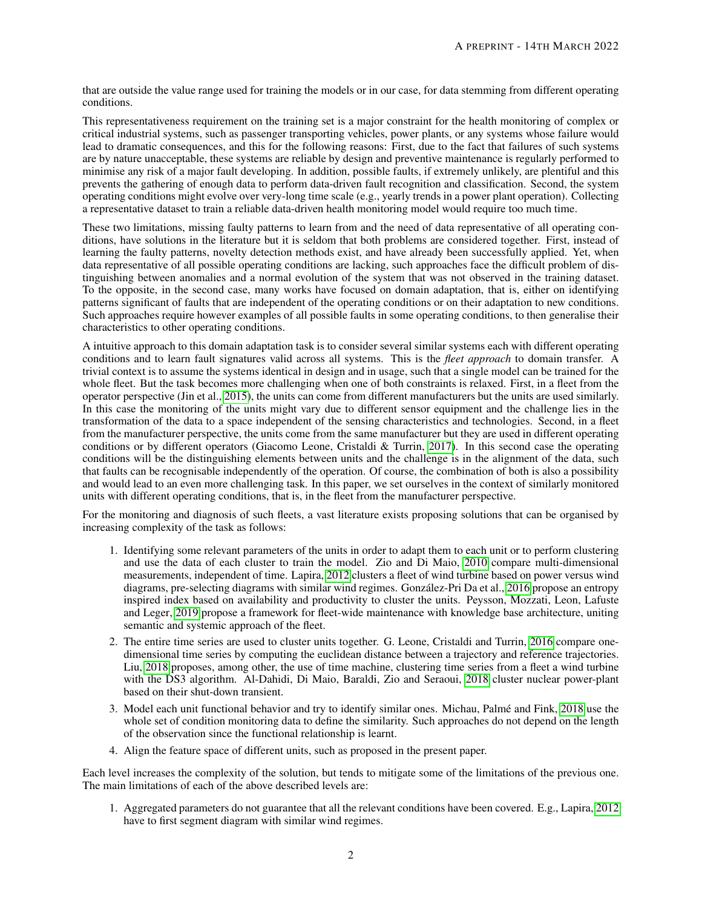that are outside the value range used for training the models or in our case, for data stemming from different operating conditions.

This representativeness requirement on the training set is a major constraint for the health monitoring of complex or critical industrial systems, such as passenger transporting vehicles, power plants, or any systems whose failure would lead to dramatic consequences, and this for the following reasons: First, due to the fact that failures of such systems are by nature unacceptable, these systems are reliable by design and preventive maintenance is regularly performed to minimise any risk of a major fault developing. In addition, possible faults, if extremely unlikely, are plentiful and this prevents the gathering of enough data to perform data-driven fault recognition and classification. Second, the system operating conditions might evolve over very-long time scale (e.g., yearly trends in a power plant operation). Collecting a representative dataset to train a reliable data-driven health monitoring model would require too much time.

These two limitations, missing faulty patterns to learn from and the need of data representative of all operating conditions, have solutions in the literature but it is seldom that both problems are considered together. First, instead of learning the faulty patterns, novelty detection methods exist, and have already been successfully applied. Yet, when data representative of all possible operating conditions are lacking, such approaches face the difficult problem of distinguishing between anomalies and a normal evolution of the system that was not observed in the training dataset. To the opposite, in the second case, many works have focused on domain adaptation, that is, either on identifying patterns significant of faults that are independent of the operating conditions or on their adaptation to new conditions. Such approaches require however examples of all possible faults in some operating conditions, to then generalise their characteristics to other operating conditions.

A intuitive approach to this domain adaptation task is to consider several similar systems each with different operating conditions and to learn fault signatures valid across all systems. This is the *fleet approach* to domain transfer. A trivial context is to assume the systems identical in design and in usage, such that a single model can be trained for the whole fleet. But the task becomes more challenging when one of both constraints is relaxed. First, in a fleet from the operator perspective (Jin et al., [2015\)](#page-10-0), the units can come from different manufacturers but the units are used similarly. In this case the monitoring of the units might vary due to different sensor equipment and the challenge lies in the transformation of the data to a space independent of the sensing characteristics and technologies. Second, in a fleet from the manufacturer perspective, the units come from the same manufacturer but they are used in different operating conditions or by different operators (Giacomo Leone, Cristaldi & Turrin, [2017\)](#page-11-0). In this second case the operating conditions will be the distinguishing elements between units and the challenge is in the alignment of the data, such that faults can be recognisable independently of the operation. Of course, the combination of both is also a possibility and would lead to an even more challenging task. In this paper, we set ourselves in the context of similarly monitored units with different operating conditions, that is, in the fleet from the manufacturer perspective.

For the monitoring and diagnosis of such fleets, a vast literature exists proposing solutions that can be organised by increasing complexity of the task as follows:

- 1. Identifying some relevant parameters of the units in order to adapt them to each unit or to perform clustering and use the data of each cluster to train the model. Zio and Di Maio, [2010](#page-11-1) compare multi-dimensional measurements, independent of time. Lapira, [2012](#page-10-1) clusters a fleet of wind turbine based on power versus wind diagrams, pre-selecting diagrams with similar wind regimes. González-Pri Da et al., [2016](#page-10-2) propose an entropy inspired index based on availability and productivity to cluster the units. Peysson, Mozzati, Leon, Lafuste and Leger, [2019](#page-11-2) propose a framework for fleet-wide maintenance with knowledge base architecture, uniting semantic and systemic approach of the fleet.
- 2. The entire time series are used to cluster units together. G. Leone, Cristaldi and Turrin, [2016](#page-11-3) compare onedimensional time series by computing the euclidean distance between a trajectory and reference trajectories. Liu, [2018](#page-11-4) proposes, among other, the use of time machine, clustering time series from a fleet a wind turbine with the DS3 algorithm. Al-Dahidi, Di Maio, Baraldi, Zio and Seraoui, [2018](#page-10-3) cluster nuclear power-plant based on their shut-down transient.
- 3. Model each unit functional behavior and try to identify similar ones. Michau, Palme and Fink, [2018](#page-11-5) use the ´ whole set of condition monitoring data to define the similarity. Such approaches do not depend on the length of the observation since the functional relationship is learnt.
- 4. Align the feature space of different units, such as proposed in the present paper.

Each level increases the complexity of the solution, but tends to mitigate some of the limitations of the previous one. The main limitations of each of the above described levels are:

1. Aggregated parameters do not guarantee that all the relevant conditions have been covered. E.g., Lapira, [2012](#page-10-1) have to first segment diagram with similar wind regimes.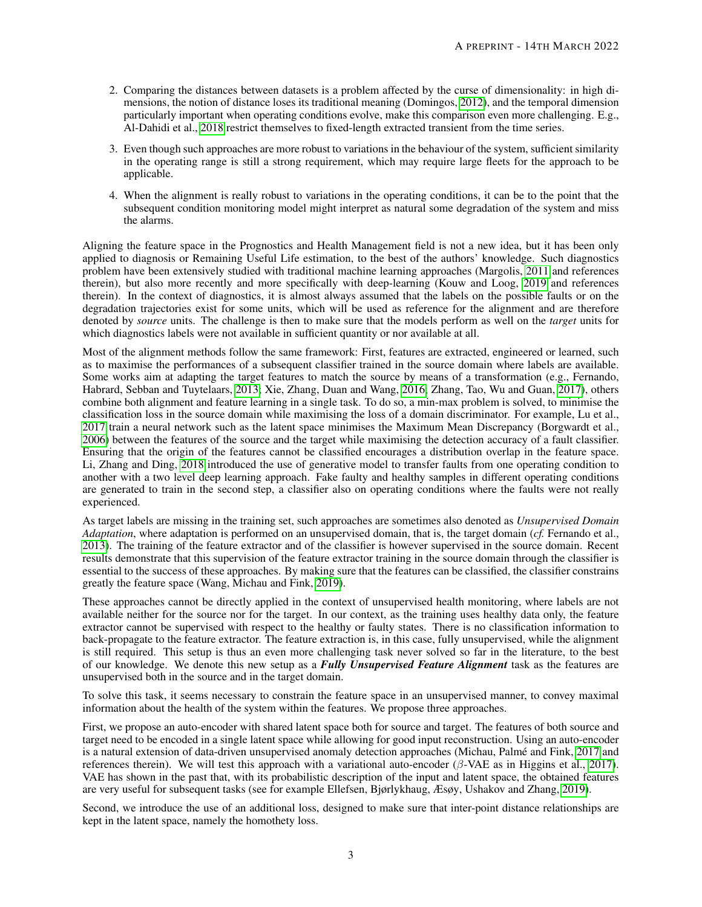- 2. Comparing the distances between datasets is a problem affected by the curse of dimensionality: in high dimensions, the notion of distance loses its traditional meaning (Domingos, [2012\)](#page-10-4), and the temporal dimension particularly important when operating conditions evolve, make this comparison even more challenging. E.g., Al-Dahidi et al., [2018](#page-10-3) restrict themselves to fixed-length extracted transient from the time series.
- 3. Even though such approaches are more robust to variations in the behaviour of the system, sufficient similarity in the operating range is still a strong requirement, which may require large fleets for the approach to be applicable.
- 4. When the alignment is really robust to variations in the operating conditions, it can be to the point that the subsequent condition monitoring model might interpret as natural some degradation of the system and miss the alarms.

Aligning the feature space in the Prognostics and Health Management field is not a new idea, but it has been only applied to diagnosis or Remaining Useful Life estimation, to the best of the authors' knowledge. Such diagnostics problem have been extensively studied with traditional machine learning approaches (Margolis, [2011](#page-11-6) and references therein), but also more recently and more specifically with deep-learning (Kouw and Loog, [2019](#page-10-5) and references therein). In the context of diagnostics, it is almost always assumed that the labels on the possible faults or on the degradation trajectories exist for some units, which will be used as reference for the alignment and are therefore denoted by *source* units. The challenge is then to make sure that the models perform as well on the *target* units for which diagnostics labels were not available in sufficient quantity or nor available at all.

Most of the alignment methods follow the same framework: First, features are extracted, engineered or learned, such as to maximise the performances of a subsequent classifier trained in the source domain where labels are available. Some works aim at adapting the target features to match the source by means of a transformation (e.g., Fernando, Habrard, Sebban and Tuytelaars, [2013;](#page-10-6) Xie, Zhang, Duan and Wang, [2016;](#page-11-7) Zhang, Tao, Wu and Guan, [2017\)](#page-11-8), others combine both alignment and feature learning in a single task. To do so, a min-max problem is solved, to minimise the classification loss in the source domain while maximising the loss of a domain discriminator. For example, Lu et al., [2017](#page-11-9) train a neural network such as the latent space minimises the Maximum Mean Discrepancy (Borgwardt et al., [2006\)](#page-10-7) between the features of the source and the target while maximising the detection accuracy of a fault classifier. Ensuring that the origin of the features cannot be classified encourages a distribution overlap in the feature space. Li, Zhang and Ding, [2018](#page-11-10) introduced the use of generative model to transfer faults from one operating condition to another with a two level deep learning approach. Fake faulty and healthy samples in different operating conditions are generated to train in the second step, a classifier also on operating conditions where the faults were not really experienced.

As target labels are missing in the training set, such approaches are sometimes also denoted as *Unsupervised Domain Adaptation*, where adaptation is performed on an unsupervised domain, that is, the target domain (*cf.* Fernando et al., [2013\)](#page-10-6). The training of the feature extractor and of the classifier is however supervised in the source domain. Recent results demonstrate that this supervision of the feature extractor training in the source domain through the classifier is essential to the success of these approaches. By making sure that the features can be classified, the classifier constrains greatly the feature space (Wang, Michau and Fink, [2019\)](#page-11-11).

These approaches cannot be directly applied in the context of unsupervised health monitoring, where labels are not available neither for the source nor for the target. In our context, as the training uses healthy data only, the feature extractor cannot be supervised with respect to the healthy or faulty states. There is no classification information to back-propagate to the feature extractor. The feature extraction is, in this case, fully unsupervised, while the alignment is still required. This setup is thus an even more challenging task never solved so far in the literature, to the best of our knowledge. We denote this new setup as a *Fully Unsupervised Feature Alignment* task as the features are unsupervised both in the source and in the target domain.

To solve this task, it seems necessary to constrain the feature space in an unsupervised manner, to convey maximal information about the health of the system within the features. We propose three approaches.

First, we propose an auto-encoder with shared latent space both for source and target. The features of both source and target need to be encoded in a single latent space while allowing for good input reconstruction. Using an auto-encoder is a natural extension of data-driven unsupervised anomaly detection approaches (Michau, Palme and Fink, [2017](#page-11-12) and ´ references therein). We will test this approach with a variational auto-encoder (β-VAE as in Higgins et al., [2017\)](#page-10-8). VAE has shown in the past that, with its probabilistic description of the input and latent space, the obtained features are very useful for subsequent tasks (see for example Ellefsen, Bjørlykhaug, Æsøy, Ushakov and Zhang, [2019\)](#page-10-9).

Second, we introduce the use of an additional loss, designed to make sure that inter-point distance relationships are kept in the latent space, namely the homothety loss.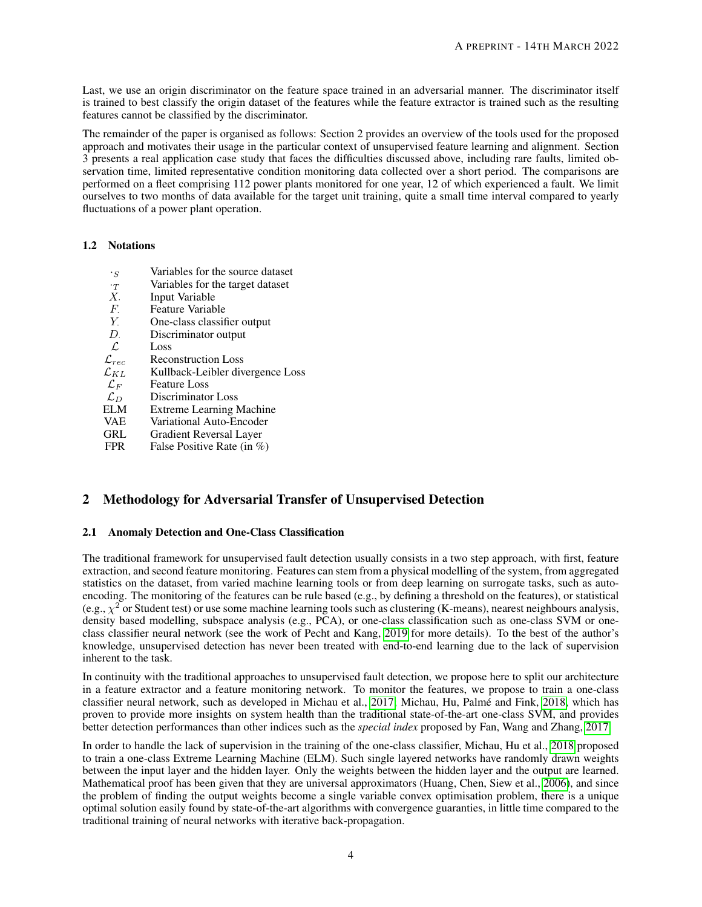Last, we use an origin discriminator on the feature space trained in an adversarial manner. The discriminator itself is trained to best classify the origin dataset of the features while the feature extractor is trained such as the resulting features cannot be classified by the discriminator.

The remainder of the paper is organised as follows: Section 2 provides an overview of the tools used for the proposed approach and motivates their usage in the particular context of unsupervised feature learning and alignment. Section 3 presents a real application case study that faces the difficulties discussed above, including rare faults, limited observation time, limited representative condition monitoring data collected over a short period. The comparisons are performed on a fleet comprising 112 power plants monitored for one year, 12 of which experienced a fault. We limit ourselves to two months of data available for the target unit training, quite a small time interval compared to yearly fluctuations of a power plant operation.

# 1.2 Notations

 $\cdot$ <sub>S</sub> Variables for the source dataset  $\tau$  Variables for the target dataset  $X$ . Input Variable  $X<sub>i</sub>$  Input Variable<br> $F<sub>i</sub>$  Feature Variab  $F<sub>z</sub>$  Feature Variable<br> $Y$  One-class classif  $Y.$  One-class classifier output  $D.$  Discriminator output  $D.$  Discriminator output  $D$  Loss  $\begin{array}{ccc} \mathcal{L} & & \text{Loss} \ \mathcal{L}_{rec} & & \text{Reco} \end{array}$ Reconstruction Loss  $\mathcal{L}_{KL}$  Kullback-Leibler divergence Loss<br>  $\mathcal{L}_F$  Feature Loss  $\mathcal{L}_F$  Feature Loss<br>  $\mathcal{L}_D$  Discriminato  $\mathcal{L}_D$  Discriminator Loss<br>ELM Extreme Learning N ELM Extreme Learning Machine<br>VAE Variational Auto-Encoder VAE Variational Auto-Encoder<br>GRL Gradient Reversal Laver GRL Gradient Reversal Layer<br>FPR False Positive Rate (in % False Positive Rate (in  $%$ )

# 2 Methodology for Adversarial Transfer of Unsupervised Detection

### 2.1 Anomaly Detection and One-Class Classification

The traditional framework for unsupervised fault detection usually consists in a two step approach, with first, feature extraction, and second feature monitoring. Features can stem from a physical modelling of the system, from aggregated statistics on the dataset, from varied machine learning tools or from deep learning on surrogate tasks, such as autoencoding. The monitoring of the features can be rule based (e.g., by defining a threshold on the features), or statistical (e.g.,  $\chi^2$  or Student test) or use some machine learning tools such as clustering (K-means), nearest neighbours analysis, density based modelling, subspace analysis (e.g., PCA), or one-class classification such as one-class SVM or oneclass classifier neural network (see the work of Pecht and Kang, [2019](#page-11-13) for more details). To the best of the author's knowledge, unsupervised detection has never been treated with end-to-end learning due to the lack of supervision inherent to the task.

In continuity with the traditional approaches to unsupervised fault detection, we propose here to split our architecture in a feature extractor and a feature monitoring network. To monitor the features, we propose to train a one-class classifier neural network, such as developed in Michau et al., [2017;](#page-11-12) Michau, Hu, Palme and Fink, [2018,](#page-11-14) which has ´ proven to provide more insights on system health than the traditional state-of-the-art one-class SVM, and provides better detection performances than other indices such as the *special index* proposed by Fan, Wang and Zhang, [2017.](#page-10-10)

In order to handle the lack of supervision in the training of the one-class classifier, Michau, Hu et al., [2018](#page-11-14) proposed to train a one-class Extreme Learning Machine (ELM). Such single layered networks have randomly drawn weights between the input layer and the hidden layer. Only the weights between the hidden layer and the output are learned. Mathematical proof has been given that they are universal approximators (Huang, Chen, Siew et al., [2006\)](#page-10-11), and since the problem of finding the output weights become a single variable convex optimisation problem, there is a unique optimal solution easily found by state-of-the-art algorithms with convergence guaranties, in little time compared to the traditional training of neural networks with iterative back-propagation.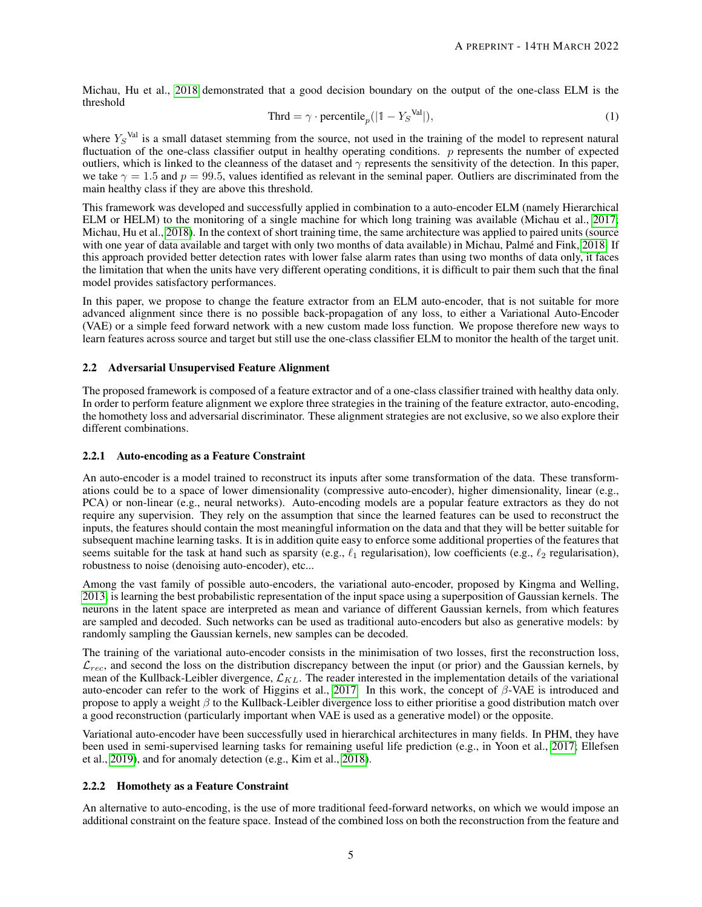Michau, Hu et al., [2018](#page-11-14) demonstrated that a good decision boundary on the output of the one-class ELM is the threshold

$$
Thrd = \gamma \cdot \text{percentile}_p(|1 - Y_S^{\text{Val}}|),\tag{1}
$$

where  $Y_S^{\text{Val}}$  is a small dataset stemming from the source, not used in the training of the model to represent natural fluctuation of the one-class classifier output in healthy operating conditions.  $p$  represents the number of expected outliers, which is linked to the cleanness of the dataset and  $\gamma$  represents the sensitivity of the detection. In this paper, we take  $\gamma = 1.5$  and  $p = 99.5$ , values identified as relevant in the seminal paper. Outliers are discriminated from the main healthy class if they are above this threshold.

This framework was developed and successfully applied in combination to a auto-encoder ELM (namely Hierarchical ELM or HELM) to the monitoring of a single machine for which long training was available (Michau et al., [2017;](#page-11-12) Michau, Hu et al., [2018\)](#page-11-14). In the context of short training time, the same architecture was applied to paired units (source with one year of data available and target with only two months of data available) in Michau, Palmé and Fink, [2018.](#page-11-5) If this approach provided better detection rates with lower false alarm rates than using two months of data only, it faces the limitation that when the units have very different operating conditions, it is difficult to pair them such that the final model provides satisfactory performances.

In this paper, we propose to change the feature extractor from an ELM auto-encoder, that is not suitable for more advanced alignment since there is no possible back-propagation of any loss, to either a Variational Auto-Encoder (VAE) or a simple feed forward network with a new custom made loss function. We propose therefore new ways to learn features across source and target but still use the one-class classifier ELM to monitor the health of the target unit.

### 2.2 Adversarial Unsupervised Feature Alignment

The proposed framework is composed of a feature extractor and of a one-class classifier trained with healthy data only. In order to perform feature alignment we explore three strategies in the training of the feature extractor, auto-encoding, the homothety loss and adversarial discriminator. These alignment strategies are not exclusive, so we also explore their different combinations.

#### 2.2.1 Auto-encoding as a Feature Constraint

An auto-encoder is a model trained to reconstruct its inputs after some transformation of the data. These transformations could be to a space of lower dimensionality (compressive auto-encoder), higher dimensionality, linear (e.g., PCA) or non-linear (e.g., neural networks). Auto-encoding models are a popular feature extractors as they do not require any supervision. They rely on the assumption that since the learned features can be used to reconstruct the inputs, the features should contain the most meaningful information on the data and that they will be better suitable for subsequent machine learning tasks. It is in addition quite easy to enforce some additional properties of the features that seems suitable for the task at hand such as sparsity (e.g.,  $\ell_1$  regularisation), low coefficients (e.g.,  $\ell_2$  regularisation), robustness to noise (denoising auto-encoder), etc...

Among the vast family of possible auto-encoders, the variational auto-encoder, proposed by Kingma and Welling, [2013,](#page-10-12) is learning the best probabilistic representation of the input space using a superposition of Gaussian kernels. The neurons in the latent space are interpreted as mean and variance of different Gaussian kernels, from which features are sampled and decoded. Such networks can be used as traditional auto-encoders but also as generative models: by randomly sampling the Gaussian kernels, new samples can be decoded.

The training of the variational auto-encoder consists in the minimisation of two losses, first the reconstruction loss,  $\mathcal{L}_{rec}$ , and second the loss on the distribution discrepancy between the input (or prior) and the Gaussian kernels, by mean of the Kullback-Leibler divergence,  $\mathcal{L}_{KL}$ . The reader interested in the implementation details of the variational auto-encoder can refer to the work of Higgins et al., [2017.](#page-10-8) In this work, the concept of  $\beta$ -VAE is introduced and propose to apply a weight  $\beta$  to the Kullback-Leibler divergence loss to either prioritise a good distribution match over a good reconstruction (particularly important when VAE is used as a generative model) or the opposite.

Variational auto-encoder have been successfully used in hierarchical architectures in many fields. In PHM, they have been used in semi-supervised learning tasks for remaining useful life prediction (e.g., in Yoon et al., [2017;](#page-11-15) Ellefsen et al., [2019\)](#page-10-9), and for anomaly detection (e.g., Kim et al., [2018\)](#page-10-13).

# 2.2.2 Homothety as a Feature Constraint

An alternative to auto-encoding, is the use of more traditional feed-forward networks, on which we would impose an additional constraint on the feature space. Instead of the combined loss on both the reconstruction from the feature and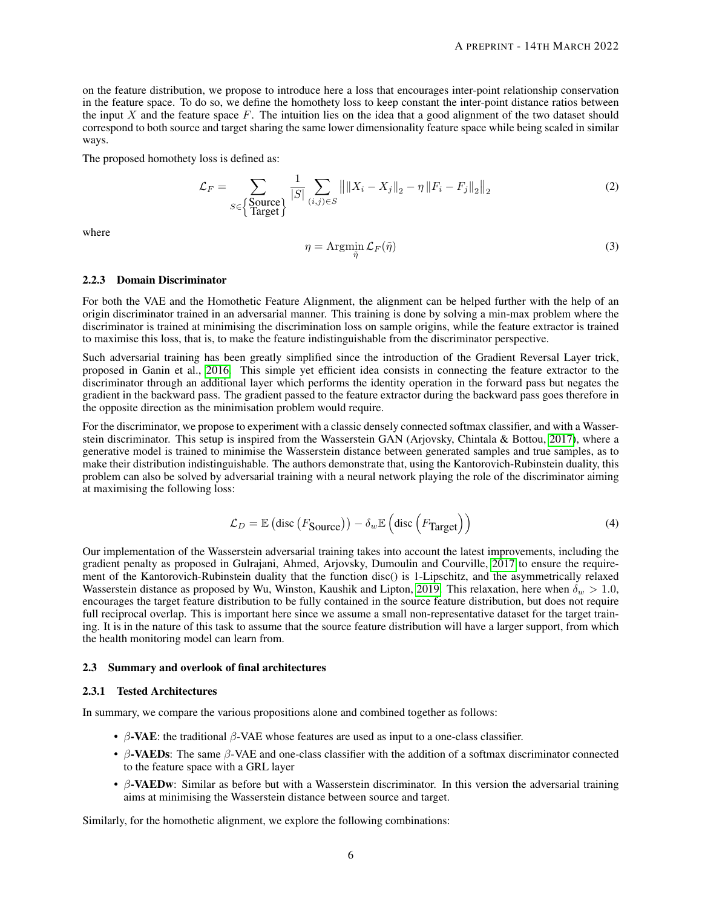on the feature distribution, we propose to introduce here a loss that encourages inter-point relationship conservation in the feature space. To do so, we define the homothety loss to keep constant the inter-point distance ratios between the input  $X$  and the feature space  $F$ . The intuition lies on the idea that a good alignment of the two dataset should correspond to both source and target sharing the same lower dimensionality feature space while being scaled in similar ways.

The proposed homothety loss is defined as:

$$
\mathcal{L}_F = \sum_{S \in \text{Source}\atop \text{Target}} \frac{1}{|S|} \sum_{(i,j) \in S} ||||X_i - X_j||_2 - \eta ||F_i - F_j||_2||_2 \tag{2}
$$

where

$$
\eta = \operatorname{Argmin}_{\tilde{\eta}} \mathcal{L}_F(\tilde{\eta}) \tag{3}
$$

### 2.2.3 Domain Discriminator

For both the VAE and the Homothetic Feature Alignment, the alignment can be helped further with the help of an origin discriminator trained in an adversarial manner. This training is done by solving a min-max problem where the discriminator is trained at minimising the discrimination loss on sample origins, while the feature extractor is trained to maximise this loss, that is, to make the feature indistinguishable from the discriminator perspective.

Such adversarial training has been greatly simplified since the introduction of the Gradient Reversal Layer trick, proposed in Ganin et al., [2016.](#page-10-14) This simple yet efficient idea consists in connecting the feature extractor to the discriminator through an additional layer which performs the identity operation in the forward pass but negates the gradient in the backward pass. The gradient passed to the feature extractor during the backward pass goes therefore in the opposite direction as the minimisation problem would require.

For the discriminator, we propose to experiment with a classic densely connected softmax classifier, and with a Wasserstein discriminator. This setup is inspired from the Wasserstein GAN (Arjovsky, Chintala & Bottou, [2017\)](#page-10-15), where a generative model is trained to minimise the Wasserstein distance between generated samples and true samples, as to make their distribution indistinguishable. The authors demonstrate that, using the Kantorovich-Rubinstein duality, this problem can also be solved by adversarial training with a neural network playing the role of the discriminator aiming at maximising the following loss:

$$
\mathcal{L}_D = \mathbb{E} \left( \text{disc} \left( F_{\text{Source}} \right) \right) - \delta_w \mathbb{E} \left( \text{disc} \left( F_{\text{Target}} \right) \right) \tag{4}
$$

Our implementation of the Wasserstein adversarial training takes into account the latest improvements, including the gradient penalty as proposed in Gulrajani, Ahmed, Arjovsky, Dumoulin and Courville, [2017](#page-10-16) to ensure the requirement of the Kantorovich-Rubinstein duality that the function disc() is 1-Lipschitz, and the asymmetrically relaxed Wasserstein distance as proposed by Wu, Winston, Kaushik and Lipton, [2019.](#page-11-16) This relaxation, here when  $\delta_w > 1.0$ , encourages the target feature distribution to be fully contained in the source feature distribution, but does not require full reciprocal overlap. This is important here since we assume a small non-representative dataset for the target training. It is in the nature of this task to assume that the source feature distribution will have a larger support, from which the health monitoring model can learn from.

#### 2.3 Summary and overlook of final architectures

#### 2.3.1 Tested Architectures

In summary, we compare the various propositions alone and combined together as follows:

- β-VAE: the traditional  $β$ -VAE whose features are used as input to a one-class classifier.
- β-VAEDs: The same  $β$ -VAE and one-class classifier with the addition of a softmax discriminator connected to the feature space with a GRL layer
- β-VAEDw: Similar as before but with a Wasserstein discriminator. In this version the adversarial training aims at minimising the Wasserstein distance between source and target.

Similarly, for the homothetic alignment, we explore the following combinations: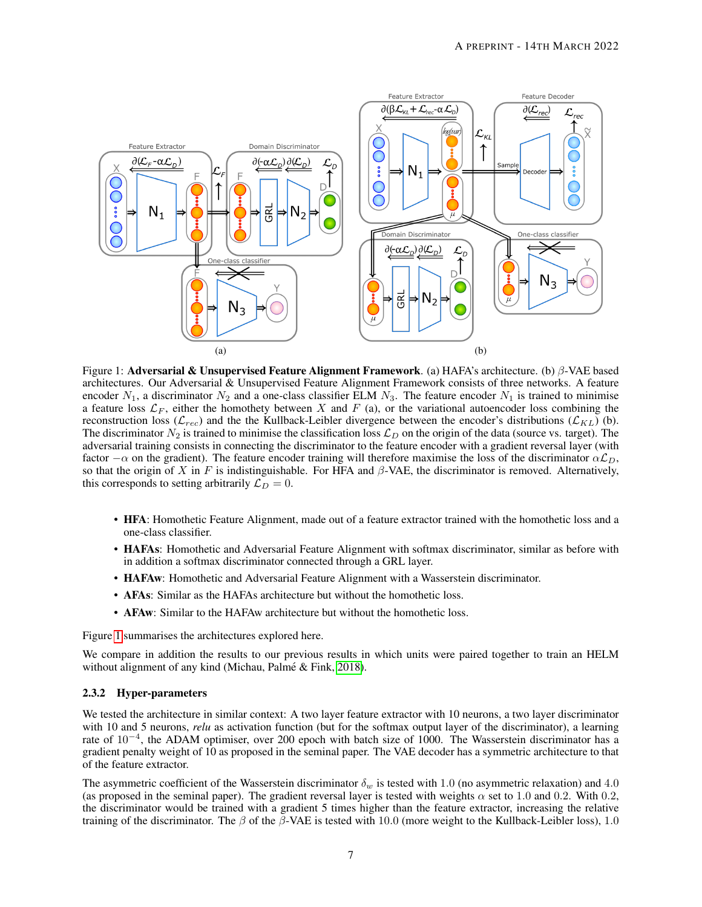

<span id="page-6-0"></span>Figure 1: Adversarial & Unsupervised Feature Alignment Framework. (a) HAFA's architecture. (b) β-VAE based architectures. Our Adversarial & Unsupervised Feature Alignment Framework consists of three networks. A feature encoder  $N_1$ , a discriminator  $N_2$  and a one-class classifier ELM  $N_3$ . The feature encoder  $N_1$  is trained to minimise a feature loss  $\mathcal{L}_F$ , either the homothety between X and F (a), or the variational autoencoder loss combining the reconstruction loss ( $\mathcal{L}_{rec}$ ) and the the Kullback-Leibler divergence between the encoder's distributions ( $\mathcal{L}_{KL}$ ) (b). The discriminator  $N_2$  is trained to minimise the classification loss  $\mathcal{L}_D$  on the origin of the data (source vs. target). The adversarial training consists in connecting the discriminator to the feature encoder with a gradient reversal layer (with factor  $-\alpha$  on the gradient). The feature encoder training will therefore maximise the loss of the discriminator  $\alpha \mathcal{L}_D$ , so that the origin of X in F is indistinguishable. For HFA and  $\beta$ -VAE, the discriminator is removed. Alternatively, this corresponds to setting arbitrarily  $\mathcal{L}_D = 0$ .

- HFA: Homothetic Feature Alignment, made out of a feature extractor trained with the homothetic loss and a one-class classifier.
- HAFAs: Homothetic and Adversarial Feature Alignment with softmax discriminator, similar as before with in addition a softmax discriminator connected through a GRL layer.
- HAFAw: Homothetic and Adversarial Feature Alignment with a Wasserstein discriminator.
- **AFAs**: Similar as the HAFAs architecture but without the homothetic loss.
- AFAw: Similar to the HAFAw architecture but without the homothetic loss.

Figure [1](#page-6-0) summarises the architectures explored here.

We compare in addition the results to our previous results in which units were paired together to train an HELM without alignment of any kind (Michau, Palmé & Fink, [2018\)](#page-11-5).

#### 2.3.2 Hyper-parameters

We tested the architecture in similar context: A two layer feature extractor with 10 neurons, a two layer discriminator with 10 and 5 neurons, *relu* as activation function (but for the softmax output layer of the discriminator), a learning rate of 10<sup>-4</sup>, the ADAM optimiser, over 200 epoch with batch size of 1000. The Wasserstein discriminator has a gradient penalty weight of 10 as proposed in the seminal paper. The VAE decoder has a symmetric architecture to that of the feature extractor.

The asymmetric coefficient of the Wasserstein discriminator  $\delta_w$  is tested with 1.0 (no asymmetric relaxation) and 4.0 (as proposed in the seminal paper). The gradient reversal layer is tested with weights  $\alpha$  set to 1.0 and 0.2. With 0.2, the discriminator would be trained with a gradient 5 times higher than the feature extractor, increasing the relative training of the discriminator. The  $\beta$  of the  $\beta$ -VAE is tested with 10.0 (more weight to the Kullback-Leibler loss), 1.0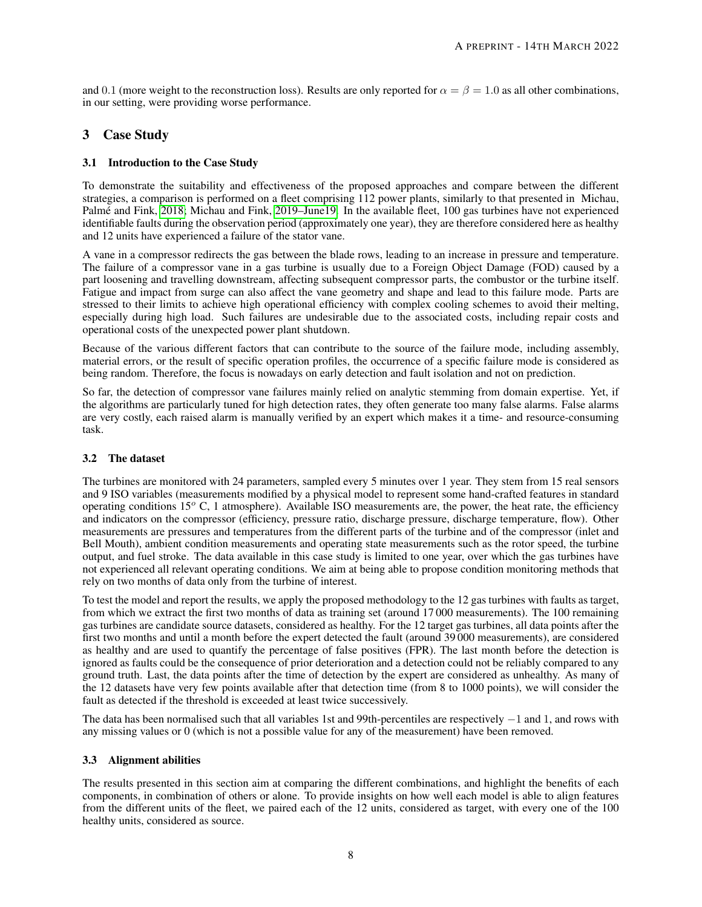and 0.1 (more weight to the reconstruction loss). Results are only reported for  $\alpha = \beta = 1.0$  as all other combinations, in our setting, were providing worse performance.

# 3 Case Study

# 3.1 Introduction to the Case Study

To demonstrate the suitability and effectiveness of the proposed approaches and compare between the different strategies, a comparison is performed on a fleet comprising 112 power plants, similarly to that presented in Michau, Palme and Fink, [2018;](#page-11-5) Michau and Fink, [2019–June19.](#page-11-17) In the available fleet, 100 gas turbines have not experienced identifiable faults during the observation period (approximately one year), they are therefore considered here as healthy and 12 units have experienced a failure of the stator vane.

A vane in a compressor redirects the gas between the blade rows, leading to an increase in pressure and temperature. The failure of a compressor vane in a gas turbine is usually due to a Foreign Object Damage (FOD) caused by a part loosening and travelling downstream, affecting subsequent compressor parts, the combustor or the turbine itself. Fatigue and impact from surge can also affect the vane geometry and shape and lead to this failure mode. Parts are stressed to their limits to achieve high operational efficiency with complex cooling schemes to avoid their melting, especially during high load. Such failures are undesirable due to the associated costs, including repair costs and operational costs of the unexpected power plant shutdown.

Because of the various different factors that can contribute to the source of the failure mode, including assembly, material errors, or the result of specific operation profiles, the occurrence of a specific failure mode is considered as being random. Therefore, the focus is nowadays on early detection and fault isolation and not on prediction.

So far, the detection of compressor vane failures mainly relied on analytic stemming from domain expertise. Yet, if the algorithms are particularly tuned for high detection rates, they often generate too many false alarms. False alarms are very costly, each raised alarm is manually verified by an expert which makes it a time- and resource-consuming task.

# 3.2 The dataset

The turbines are monitored with 24 parameters, sampled every 5 minutes over 1 year. They stem from 15 real sensors and 9 ISO variables (measurements modified by a physical model to represent some hand-crafted features in standard operating conditions  $15^{\circ}$  C, 1 atmosphere). Available ISO measurements are, the power, the heat rate, the efficiency and indicators on the compressor (efficiency, pressure ratio, discharge pressure, discharge temperature, flow). Other measurements are pressures and temperatures from the different parts of the turbine and of the compressor (inlet and Bell Mouth), ambient condition measurements and operating state measurements such as the rotor speed, the turbine output, and fuel stroke. The data available in this case study is limited to one year, over which the gas turbines have not experienced all relevant operating conditions. We aim at being able to propose condition monitoring methods that rely on two months of data only from the turbine of interest.

To test the model and report the results, we apply the proposed methodology to the 12 gas turbines with faults as target, from which we extract the first two months of data as training set (around 17 000 measurements). The 100 remaining gas turbines are candidate source datasets, considered as healthy. For the 12 target gas turbines, all data points after the first two months and until a month before the expert detected the fault (around 39 000 measurements), are considered as healthy and are used to quantify the percentage of false positives (FPR). The last month before the detection is ignored as faults could be the consequence of prior deterioration and a detection could not be reliably compared to any ground truth. Last, the data points after the time of detection by the expert are considered as unhealthy. As many of the 12 datasets have very few points available after that detection time (from 8 to 1000 points), we will consider the fault as detected if the threshold is exceeded at least twice successively.

The data has been normalised such that all variables 1st and 99th-percentiles are respectively −1 and 1, and rows with any missing values or 0 (which is not a possible value for any of the measurement) have been removed.

# 3.3 Alignment abilities

The results presented in this section aim at comparing the different combinations, and highlight the benefits of each components, in combination of others or alone. To provide insights on how well each model is able to align features from the different units of the fleet, we paired each of the 12 units, considered as target, with every one of the 100 healthy units, considered as source.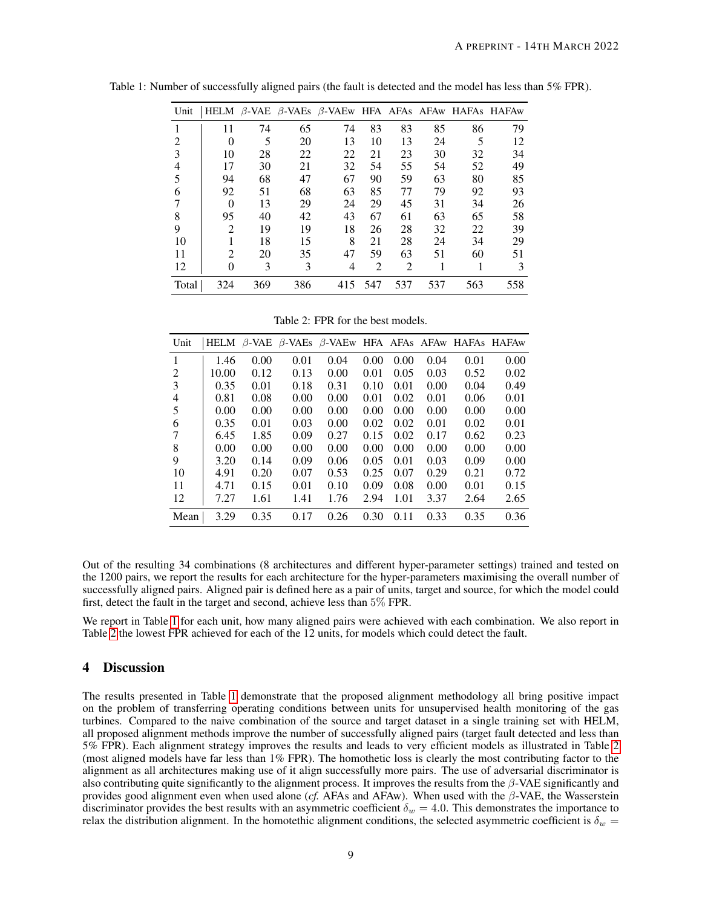<span id="page-8-0"></span>

| Unit  |          |     |     | HELM B-VAE B-VAEs B-VAEw HFA AFAs AFAw HAFAs HAFAw |     |     |     |     |     |
|-------|----------|-----|-----|----------------------------------------------------|-----|-----|-----|-----|-----|
|       | 11       | 74  | 65  | 74                                                 | 83  | 83  | 85  | 86  | 79  |
| 2     | $\theta$ | 5   | 20  | 13                                                 | 10  | 13  | 24  | 5   | 12  |
| 3     | 10       | 28  | 22  | 22                                                 | 21  | 23  | 30  | 32  | 34  |
| 4     | 17       | 30  | 21  | 32                                                 | 54  | 55  | 54  | 52  | 49  |
|       | 94       | 68  | 47  | 67                                                 | 90  | 59  | 63  | 80  | 85  |
| 6     | 92       | 51  | 68  | 63                                                 | 85  | 77  | 79  | 92  | 93  |
|       | $\Omega$ | 13  | 29  | 24                                                 | 29  | 45  | 31  | 34  | 26  |
| 8     | 95       | 40  | 42  | 43                                                 | 67  | 61  | 63  | 65  | 58  |
| 9     | 2        | 19  | 19  | 18                                                 | 26  | 28  | 32  | 22  | 39  |
| 10    |          | 18  | 15  | 8                                                  | 21  | 28  | 24  | 34  | 29  |
| 11    | 2        | 20  | 35  | 47                                                 | 59  | 63  | 51  | 60  | 51  |
| 12    | 0        | 3   | 3   | 4                                                  | 2   | 2   |     |     | 3   |
| Total | 324      | 369 | 386 | 415                                                | 547 | 537 | 537 | 563 | 558 |

Table 1: Number of successfully aligned pairs (the fault is detected and the model has less than 5% FPR).

<span id="page-8-1"></span>Table 2: FPR for the best models.

| Unit |       |      |      | HELM $\beta$ -VAE $\beta$ -VAEs $\beta$ -VAEw HFA AFAs AFAw HAFAs HAFAw |      |      |      |      |      |
|------|-------|------|------|-------------------------------------------------------------------------|------|------|------|------|------|
| 1    | 1.46  | 0.00 | 0.01 | 0.04                                                                    | 0.00 | 0.00 | 0.04 | 0.01 | 0.00 |
| 2    | 10.00 | 0.12 | 0.13 | 0.00                                                                    | 0.01 | 0.05 | 0.03 | 0.52 | 0.02 |
| 3    | 0.35  | 0.01 | 0.18 | 0.31                                                                    | 0.10 | 0.01 | 0.00 | 0.04 | 0.49 |
| 4    | 0.81  | 0.08 | 0.00 | 0.00                                                                    | 0.01 | 0.02 | 0.01 | 0.06 | 0.01 |
| 5    | 0.00  | 0.00 | 0.00 | 0.00                                                                    | 0.00 | 0.00 | 0.00 | 0.00 | 0.00 |
| 6    | 0.35  | 0.01 | 0.03 | 0.00                                                                    | 0.02 | 0.02 | 0.01 | 0.02 | 0.01 |
| 7    | 6.45  | 1.85 | 0.09 | 0.27                                                                    | 0.15 | 0.02 | 0.17 | 0.62 | 0.23 |
| 8    | 0.00  | 0.00 | 0.00 | 0.00                                                                    | 0.00 | 0.00 | 0.00 | 0.00 | 0.00 |
| 9    | 3.20  | 0.14 | 0.09 | 0.06                                                                    | 0.05 | 0.01 | 0.03 | 0.09 | 0.00 |
| 10   | 4.91  | 0.20 | 0.07 | 0.53                                                                    | 0.25 | 0.07 | 0.29 | 0.21 | 0.72 |
| 11   | 4.71  | 0.15 | 0.01 | 0.10                                                                    | 0.09 | 0.08 | 0.00 | 0.01 | 0.15 |
| 12   | 7.27  | 1.61 | 1.41 | 1.76                                                                    | 2.94 | 1.01 | 3.37 | 2.64 | 2.65 |
| Mean | 3.29  | 0.35 | 0.17 | 0.26                                                                    | 0.30 | 0.11 | 0.33 | 0.35 | 0.36 |

Out of the resulting 34 combinations (8 architectures and different hyper-parameter settings) trained and tested on the 1200 pairs, we report the results for each architecture for the hyper-parameters maximising the overall number of successfully aligned pairs. Aligned pair is defined here as a pair of units, target and source, for which the model could first, detect the fault in the target and second, achieve less than 5% FPR.

We report in Table [1](#page-8-0) for each unit, how many aligned pairs were achieved with each combination. We also report in Table [2](#page-8-1) the lowest FPR achieved for each of the 12 units, for models which could detect the fault.

# 4 Discussion

The results presented in Table [1](#page-8-0) demonstrate that the proposed alignment methodology all bring positive impact on the problem of transferring operating conditions between units for unsupervised health monitoring of the gas turbines. Compared to the naive combination of the source and target dataset in a single training set with HELM, all proposed alignment methods improve the number of successfully aligned pairs (target fault detected and less than 5% FPR). Each alignment strategy improves the results and leads to very efficient models as illustrated in Table [2](#page-8-1) (most aligned models have far less than 1% FPR). The homothetic loss is clearly the most contributing factor to the alignment as all architectures making use of it align successfully more pairs. The use of adversarial discriminator is also contributing quite significantly to the alignment process. It improves the results from the  $\beta$ -VAE significantly and provides good alignment even when used alone (*cf.* AFAs and AFAw). When used with the β-VAE, the Wasserstein discriminator provides the best results with an asymmetric coefficient  $\delta_w = 4.0$ . This demonstrates the importance to relax the distribution alignment. In the homotethic alignment conditions, the selected asymmetric coefficient is  $\delta_w =$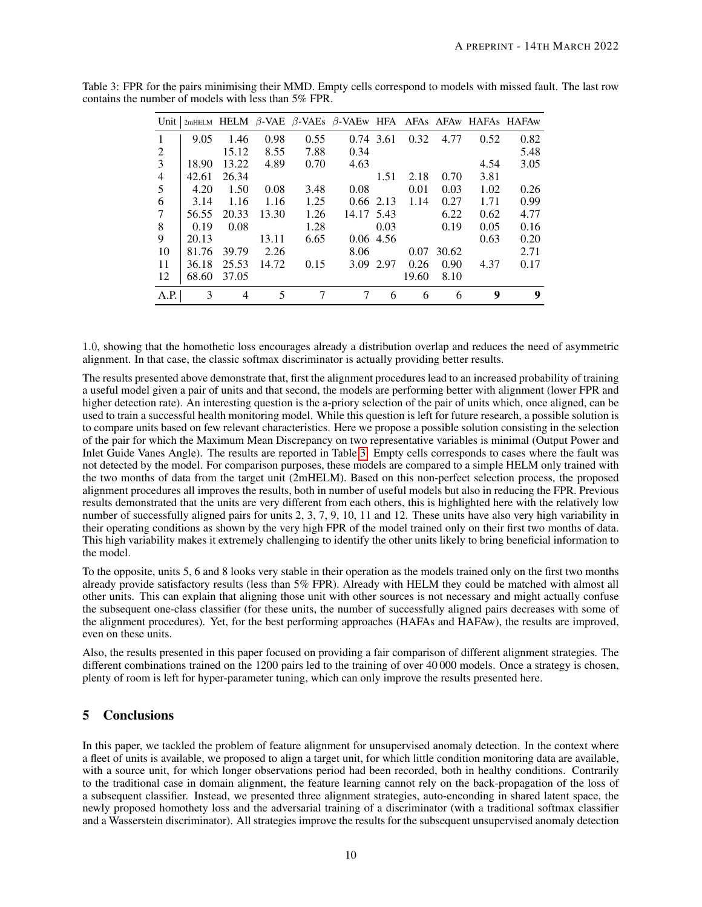| Unit |       |       |       |      | $2m$ HELM HELM $\beta$ -VAE $\beta$ -VAEs $\beta$ -VAEw HFA AFAs AFAw HAFAs HAFAw |             |       |       |      |      |
|------|-------|-------|-------|------|-----------------------------------------------------------------------------------|-------------|-------|-------|------|------|
| 1    | 9.05  | 1.46  | 0.98  | 0.55 |                                                                                   | 0.74 3.61   | 0.32  | 4.77  | 0.52 | 0.82 |
| 2    |       | 15.12 | 8.55  | 7.88 | 0.34                                                                              |             |       |       |      | 5.48 |
| 3    | 18.90 | 13.22 | 4.89  | 0.70 | 4.63                                                                              |             |       |       | 4.54 | 3.05 |
| 4    | 42.61 | 26.34 |       |      |                                                                                   | 1.51        | 2.18  | 0.70  | 3.81 |      |
| 5    | 4.20  | 1.50  | 0.08  | 3.48 | 0.08                                                                              |             | 0.01  | 0.03  | 1.02 | 0.26 |
| 6    | 3.14  | 1.16  | 1.16  | 1.25 |                                                                                   | 0.66 2.13   | 1.14  | 0.27  | 1.71 | 0.99 |
| 7    | 56.55 | 20.33 | 13.30 | 1.26 | 14.17 5.43                                                                        |             |       | 6.22  | 0.62 | 4.77 |
| 8    | 0.19  | 0.08  |       | 1.28 |                                                                                   | 0.03        |       | 0.19  | 0.05 | 0.16 |
| 9    | 20.13 |       | 13.11 | 6.65 |                                                                                   | $0.06$ 4.56 |       |       | 0.63 | 0.20 |
| 10   | 81.76 | 39.79 | 2.26  |      | 8.06                                                                              |             | 0.07  | 30.62 |      | 2.71 |
| 11   | 36.18 | 25.53 | 14.72 | 0.15 | 3.09 2.97                                                                         |             | 0.26  | 0.90  | 4.37 | 0.17 |
| 12   | 68.60 | 37.05 |       |      |                                                                                   |             | 19.60 | 8.10  |      |      |
| A.P. | 3     | 4     | 5     | 7    | 7                                                                                 | 6           | 6     | 6     | 9    | 9    |

<span id="page-9-0"></span>Table 3: FPR for the pairs minimising their MMD. Empty cells correspond to models with missed fault. The last row contains the number of models with less than 5% FPR.

1.0, showing that the homothetic loss encourages already a distribution overlap and reduces the need of asymmetric alignment. In that case, the classic softmax discriminator is actually providing better results.

The results presented above demonstrate that, first the alignment procedures lead to an increased probability of training a useful model given a pair of units and that second, the models are performing better with alignment (lower FPR and higher detection rate). An interesting question is the a-priory selection of the pair of units which, once aligned, can be used to train a successful health monitoring model. While this question is left for future research, a possible solution is to compare units based on few relevant characteristics. Here we propose a possible solution consisting in the selection of the pair for which the Maximum Mean Discrepancy on two representative variables is minimal (Output Power and Inlet Guide Vanes Angle). The results are reported in Table [3.](#page-9-0) Empty cells corresponds to cases where the fault was not detected by the model. For comparison purposes, these models are compared to a simple HELM only trained with the two months of data from the target unit (2mHELM). Based on this non-perfect selection process, the proposed alignment procedures all improves the results, both in number of useful models but also in reducing the FPR. Previous results demonstrated that the units are very different from each others, this is highlighted here with the relatively low number of successfully aligned pairs for units 2, 3, 7, 9, 10, 11 and 12. These units have also very high variability in their operating conditions as shown by the very high FPR of the model trained only on their first two months of data. This high variability makes it extremely challenging to identify the other units likely to bring beneficial information to the model.

To the opposite, units 5, 6 and 8 looks very stable in their operation as the models trained only on the first two months already provide satisfactory results (less than 5% FPR). Already with HELM they could be matched with almost all other units. This can explain that aligning those unit with other sources is not necessary and might actually confuse the subsequent one-class classifier (for these units, the number of successfully aligned pairs decreases with some of the alignment procedures). Yet, for the best performing approaches (HAFAs and HAFAw), the results are improved, even on these units.

Also, the results presented in this paper focused on providing a fair comparison of different alignment strategies. The different combinations trained on the 1200 pairs led to the training of over 40 000 models. Once a strategy is chosen, plenty of room is left for hyper-parameter tuning, which can only improve the results presented here.

# 5 Conclusions

In this paper, we tackled the problem of feature alignment for unsupervised anomaly detection. In the context where a fleet of units is available, we proposed to align a target unit, for which little condition monitoring data are available, with a source unit, for which longer observations period had been recorded, both in healthy conditions. Contrarily to the traditional case in domain alignment, the feature learning cannot rely on the back-propagation of the loss of a subsequent classifier. Instead, we presented three alignment strategies, auto-enconding in shared latent space, the newly proposed homothety loss and the adversarial training of a discriminator (with a traditional softmax classifier and a Wasserstein discriminator). All strategies improve the results for the subsequent unsupervised anomaly detection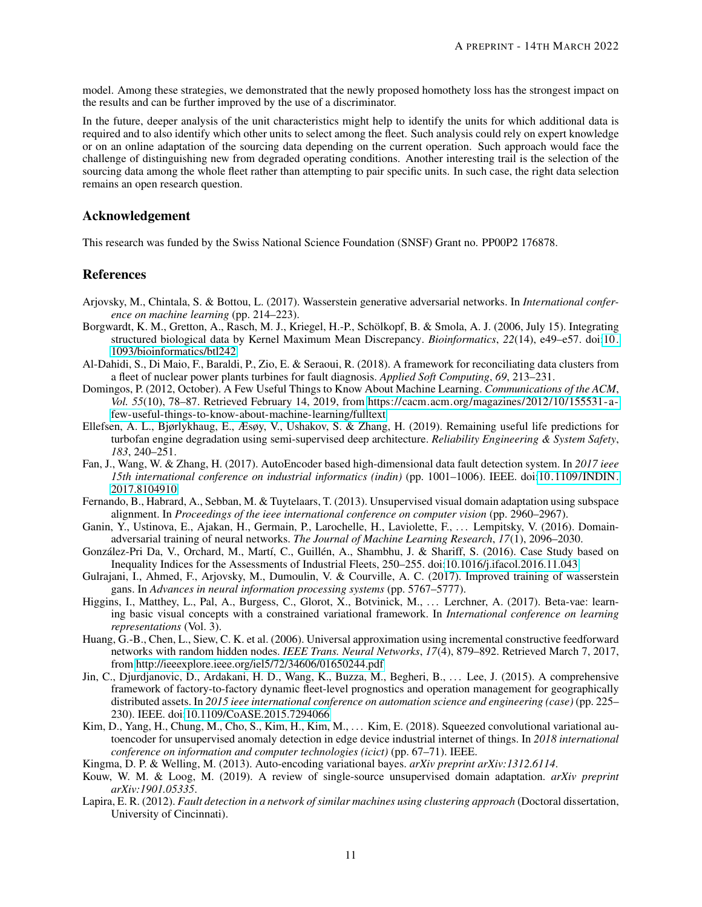model. Among these strategies, we demonstrated that the newly proposed homothety loss has the strongest impact on the results and can be further improved by the use of a discriminator.

In the future, deeper analysis of the unit characteristics might help to identify the units for which additional data is required and to also identify which other units to select among the fleet. Such analysis could rely on expert knowledge or on an online adaptation of the sourcing data depending on the current operation. Such approach would face the challenge of distinguishing new from degraded operating conditions. Another interesting trail is the selection of the sourcing data among the whole fleet rather than attempting to pair specific units. In such case, the right data selection remains an open research question.

# Acknowledgement

This research was funded by the Swiss National Science Foundation (SNSF) Grant no. PP00P2 176878.

# References

- <span id="page-10-15"></span>Arjovsky, M., Chintala, S. & Bottou, L. (2017). Wasserstein generative adversarial networks. In *International conference on machine learning* (pp. 214–223).
- <span id="page-10-7"></span>Borgwardt, K. M., Gretton, A., Rasch, M. J., Kriegel, H.-P., Scholkopf, B. & Smola, A. J. (2006, July 15). Integrating ¨ structured biological data by Kernel Maximum Mean Discrepancy. *Bioinformatics*, *22*(14), e49–e57. doi[:10.](https://dx.doi.org/10.1093/bioinformatics/btl242) [1093/bioinformatics/btl242](https://dx.doi.org/10.1093/bioinformatics/btl242)
- <span id="page-10-3"></span>Al-Dahidi, S., Di Maio, F., Baraldi, P., Zio, E. & Seraoui, R. (2018). A framework for reconciliating data clusters from a fleet of nuclear power plants turbines for fault diagnosis. *Applied Soft Computing*, *69*, 213–231.
- <span id="page-10-4"></span>Domingos, P. (2012, October). A Few Useful Things to Know About Machine Learning. *Communications of the ACM*, *Vol. 55*(10), 78–87. Retrieved February 14, 2019, from [https://cacm.acm.org/magazines/2012/10/155531-a](https://cacm.acm.org/magazines/2012/10/155531-a-few-useful-things-to-know-about-machine-learning/fulltext)[few-useful-things-to-know-about-machine-learning/fulltext](https://cacm.acm.org/magazines/2012/10/155531-a-few-useful-things-to-know-about-machine-learning/fulltext)
- <span id="page-10-9"></span>Ellefsen, A. L., Bjørlykhaug, E., Æsøy, V., Ushakov, S. & Zhang, H. (2019). Remaining useful life predictions for turbofan engine degradation using semi-supervised deep architecture. *Reliability Engineering & System Safety*, *183*, 240–251.
- <span id="page-10-10"></span>Fan, J., Wang, W. & Zhang, H. (2017). AutoEncoder based high-dimensional data fault detection system. In *2017 ieee 15th international conference on industrial informatics (indin)* (pp. 1001–1006). IEEE. doi[:10.1109/ INDIN.](https://dx.doi.org/10.1109/INDIN.2017.8104910) [2017.8104910](https://dx.doi.org/10.1109/INDIN.2017.8104910)
- <span id="page-10-6"></span>Fernando, B., Habrard, A., Sebban, M. & Tuytelaars, T. (2013). Unsupervised visual domain adaptation using subspace alignment. In *Proceedings of the ieee international conference on computer vision* (pp. 2960–2967).
- <span id="page-10-14"></span>Ganin, Y., Ustinova, E., Ajakan, H., Germain, P., Larochelle, H., Laviolette, F., ... Lempitsky, V. (2016). Domainadversarial training of neural networks. *The Journal of Machine Learning Research*, *17*(1), 2096–2030.
- <span id="page-10-2"></span>González-Pri Da, V., Orchard, M., Martí, C., Guillén, A., Shambhu, J. & Shariff, S. (2016). Case Study based on Inequality Indices for the Assessments of Industrial Fleets, 250–255. doi[:10.1016/j.ifacol.2016.11.043](https://dx.doi.org/10.1016/j.ifacol.2016.11.043)
- <span id="page-10-16"></span>Gulrajani, I., Ahmed, F., Arjovsky, M., Dumoulin, V. & Courville, A. C. (2017). Improved training of wasserstein gans. In *Advances in neural information processing systems* (pp. 5767–5777).
- <span id="page-10-8"></span>Higgins, I., Matthey, L., Pal, A., Burgess, C., Glorot, X., Botvinick, M., ... Lerchner, A. (2017). Beta-vae: learning basic visual concepts with a constrained variational framework. In *International conference on learning representations* (Vol. 3).
- <span id="page-10-11"></span>Huang, G.-B., Chen, L., Siew, C. K. et al. (2006). Universal approximation using incremental constructive feedforward networks with random hidden nodes. *IEEE Trans. Neural Networks*, *17*(4), 879–892. Retrieved March 7, 2017, from<http://ieeexplore.ieee.org/iel5/72/34606/01650244.pdf>
- <span id="page-10-0"></span>Jin, C., Djurdjanovic, D., Ardakani, H. D., Wang, K., Buzza, M., Begheri, B., ... Lee, J. (2015). A comprehensive framework of factory-to-factory dynamic fleet-level prognostics and operation management for geographically distributed assets. In *2015 ieee international conference on automation science and engineering (case)* (pp. 225– 230). IEEE. doi[:10.1109/CoASE.2015.7294066](https://dx.doi.org/10.1109/CoASE.2015.7294066)
- <span id="page-10-13"></span>Kim, D., Yang, H., Chung, M., Cho, S., Kim, H., Kim, M., ... Kim, E. (2018). Squeezed convolutional variational autoencoder for unsupervised anomaly detection in edge device industrial internet of things. In *2018 international conference on information and computer technologies (icict)* (pp. 67–71). IEEE.
- <span id="page-10-12"></span>Kingma, D. P. & Welling, M. (2013). Auto-encoding variational bayes. *arXiv preprint arXiv:1312.6114*.
- <span id="page-10-5"></span>Kouw, W. M. & Loog, M. (2019). A review of single-source unsupervised domain adaptation. *arXiv preprint arXiv:1901.05335*.
- <span id="page-10-1"></span>Lapira, E. R. (2012). *Fault detection in a network of similar machines using clustering approach* (Doctoral dissertation, University of Cincinnati).